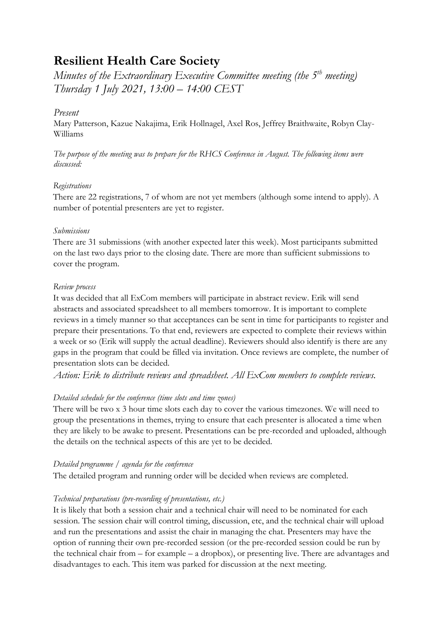# **Resilient Health Care Society**

*Minutes of the Extraordinary Executive Committee meeting (the 5th meeting) Thursday 1 July 2021, 13:00 – 14:00 CEST*

# *Present*

Mary Patterson, Kazue Nakajima, Erik Hollnagel, Axel Ros, Jeffrey Braithwaite, Robyn Clay-Williams

*The purpose of the meeting was to prepare for the RHCS Conference in August. The following items were discussed:*

## *Registrations*

There are 22 registrations, 7 of whom are not yet members (although some intend to apply). A number of potential presenters are yet to register.

## *Submissions*

There are 31 submissions (with another expected later this week). Most participants submitted on the last two days prior to the closing date. There are more than sufficient submissions to cover the program.

# *Review process*

It was decided that all ExCom members will participate in abstract review. Erik will send abstracts and associated spreadsheet to all members tomorrow. It is important to complete reviews in a timely manner so that acceptances can be sent in time for participants to register and prepare their presentations. To that end, reviewers are expected to complete their reviews within a week or so (Erik will supply the actual deadline). Reviewers should also identify is there are any gaps in the program that could be filled via invitation. Once reviews are complete, the number of presentation slots can be decided.

*Action: Erik to distribute reviews and spreadsheet. All ExCom members to complete reviews.*

# *Detailed schedule for the conference (time slots and time zones)*

There will be two x 3 hour time slots each day to cover the various timezones. We will need to group the presentations in themes, trying to ensure that each presenter is allocated a time when they are likely to be awake to present. Presentations can be pre-recorded and uploaded, although the details on the technical aspects of this are yet to be decided.

## *Detailed programme / agenda for the conference*

The detailed program and running order will be decided when reviews are completed.

# *Technical preparations (pre-recording of presentations, etc.)*

It is likely that both a session chair and a technical chair will need to be nominated for each session. The session chair will control timing, discussion, etc, and the technical chair will upload and run the presentations and assist the chair in managing the chat. Presenters may have the option of running their own pre-recorded session (or the pre-recorded session could be run by the technical chair from – for example – a dropbox), or presenting live. There are advantages and disadvantages to each. This item was parked for discussion at the next meeting.